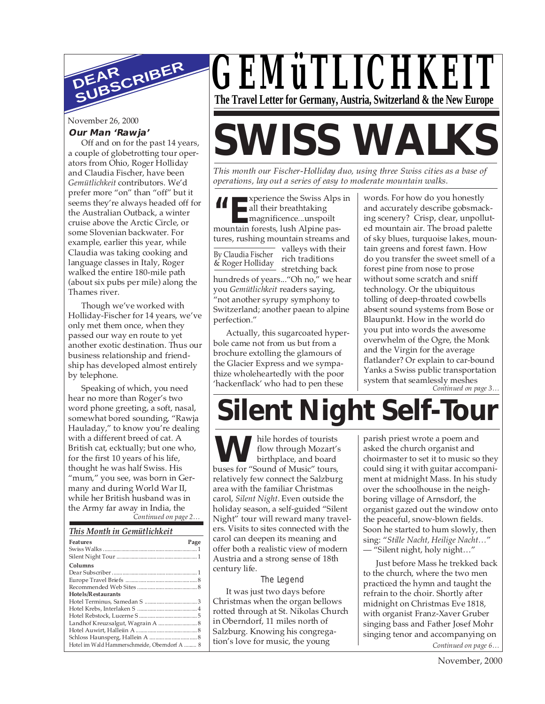

November 26, 2000

#### **Our Man 'Rawja'**

Off and on for the past 14 years, a couple of globetrotting tour operators from Ohio, Roger Holliday and Claudia Fischer, have been *Gemütlichkeit* contributors. We'd prefer more "on" than "off" but it seems they're always headed off for the Australian Outback, a winter cruise above the Arctic Circle, or some Slovenian backwater. For example, earlier this year, while Claudia was taking cooking and language classes in Italy, Roger walked the entire 180-mile path (about six pubs per mile) along the Thames river.

Though we've worked with Holliday-Fischer for 14 years, we've only met them once, when they passed our way en route to yet another exotic destination. Thus our business relationship and friendship has developed almost entirely by telephone.

*Continued on page 2…* Speaking of which, you need hear no more than Roger's two word phone greeting, a soft, nasal, somewhat bored sounding, "Rawja Hauladay," to know you're dealing with a different breed of cat. A British cat, ecktually; but one who, for the first 10 years of his life, thought he was half Swiss. His "mum," you see, was born in Germany and during World War II, while her British husband was in the Army far away in India, the

#### *This Month in Gemütlichkeit*

| <b>Features</b>                              | Page |
|----------------------------------------------|------|
|                                              |      |
|                                              |      |
| Columns                                      |      |
|                                              |      |
|                                              |      |
|                                              |      |
| Hotels/Restaurants                           |      |
|                                              |      |
|                                              |      |
|                                              |      |
| Landhof Kreuzsalgut, Wagrain A  8            |      |
|                                              |      |
|                                              |      |
| Hotel im Wald Hammerschmeide, Oberndorf A  8 |      |



# **SWISS WALKS**

*This month our Fischer-Holliday duo, using three Swiss cities as a base of operations, lay out a series of easy to moderate mountain walks.*

**XEPU EXECUTE SWISS ALPS IN WORDS. For how do you honestly<br>
all their breathtaking<br>
magnificence...unspoilt<br>
mountain forests lush Alpine pas-<br>
ed mountain air. The broad palet** all their breathtaking magnificence...unspoilt mountain forests, lush Alpine pastures, rushing mountain streams and

By Claudia Fischer & Roger Holliday valleys with their rich traditions stretching back hundreds of years..."Oh no," we hear you *Gemütlichkeit* readers saying,

"not another syrupy symphony to Switzerland; another paean to alpine perfection."

Actually, this sugarcoated hyperbole came not from us but from a brochure extolling the glamours of the Glacier Express and we sympathize wholeheartedly with the poor 'hackenflack' who had to pen these

*Continued on page 3…* and accurately describe gobsmacking scenery? Crisp, clear, unpolluted mountain air. The broad palette of sky blues, turquoise lakes, mountain greens and forest fawn. How do you transfer the sweet smell of a forest pine from nose to prose without some scratch and sniff technology. Or the ubiquitous tolling of deep-throated cowbells absent sound systems from Bose or Blaupunkt. How in the world do you put into words the awesome overwhelm of the Ogre, the Monk and the Virgin for the average flatlander? Or explain to car-bound Yanks a Swiss public transportation system that seamlessly meshes

## **Silent Night Self-Tour**

hile hordes of tourists flow through Mozart's birthplace, and board buses for "Sound of Music" tours, relatively few connect the Salzburg area with the familiar Christmas carol, *Silent Night*. Even outside the holiday season, a self-guided "Silent Night" tour will reward many travelers. Visits to sites connected with the carol can deepen its meaning and offer both a realistic view of modern Austria and a strong sense of 18th century life.

#### The Legend

It was just two days before Christmas when the organ bellows rotted through at St. Nikolas Church in Oberndorf, 11 miles north of Salzburg. Knowing his congregation's love for music, the young

While hordes of tourists<br>
flow through Mozart's<br>
birthplace, and board<br>
choirmaster to set it to music so they<br>
could sing it with guitar accompaniasked the church organist and could sing it with guitar accompaniment at midnight Mass. In his study over the schoolhouse in the neighboring village of Arnsdorf, the organist gazed out the window onto the peaceful, snow-blown fields. Soon he started to hum slowly, then sing: "*Stille Nacht, Heilige Nacht…*" — "Silent night, holy night…"

> *Continued on page 6…* Just before Mass he trekked back to the church, where the two men practiced the hymn and taught the refrain to the choir. Shortly after midnight on Christmas Eve 1818, with organist Franz-Xaver Gruber singing bass and Father Josef Mohr singing tenor and accompanying on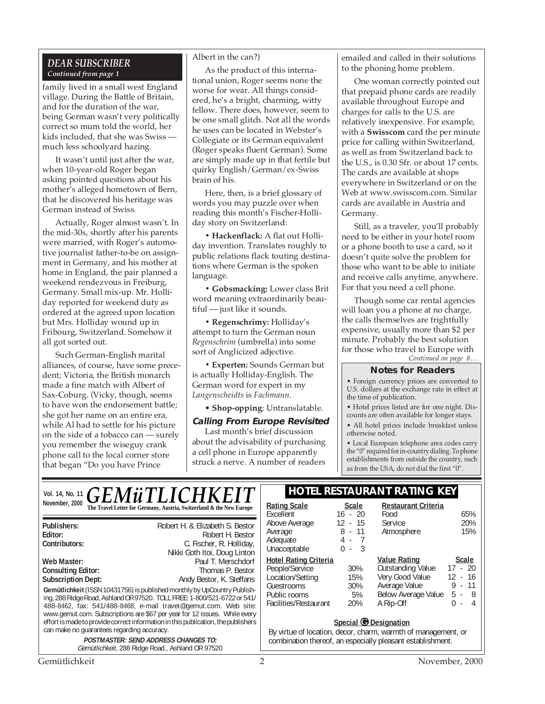#### *DEAR SUBSCRIBER Continued from page 1*

family lived in a small west England village. During the Battle of Britain, and for the duration of the war, being German wasn't very politically correct so mum told the world, her kids included, that she was Swiss much less schoolyard hazing.

It wasn't until just after the war, when 10-year-old Roger began asking pointed questions about his mother's alleged hometown of Bern, that he discovered his heritage was German instead of Swiss.

Actually, Roger almost wasn't. In the mid-30s, shortly after his parents were married, with Roger's automotive journalist father-to-be on assignment in Germany, and his mother at home in England, the pair planned a weekend rendezvous in Freiburg, Germany. Small mix-up. Mr. Holliday reported for weekend duty as ordered at the agreed upon location but Mrs. Holliday wound up in Fribourg, Switzerland. Somehow it all got sorted out.

Such German-English marital alliances, of course, have some precedent; Victoria, the British monarch made a fine match with Albert of Sax-Coburg. (Vicky, though, seems to have won the endorsement battle; she got her name on an entire era, while Al had to settle for his picture on the side of a tobacco can — surely you remember the wiseguy crank phone call to the local corner store that began "Do you have Prince

#### Albert in the can?)

As the product of this international union, Roger seems none the worse for wear. All things considered, he's a bright, charming, witty fellow. There does, however, seem to be one small glitch. Not all the words he uses can be located in Webster's Collegiate or its German equivalent (Roger speaks fluent German). Some are simply made up in that fertile but quirky English/German/ex-Swiss brain of his.

Here, then, is a brief glossary of words you may puzzle over when reading this month's Fischer-Holliday story on Switzerland:

**• Hackenflack:** A flat out Holliday invention. Translates roughly to public relations flack touting destinations where German is the spoken language.

**• Gobsmacking:** Lower class Brit word meaning extraordinarily beautiful — just like it sounds.

**• Regenschrimy:** Holliday's attempt to turn the German noun *Regenschrim* (umbrella) into some sort of Anglicized adjective.

**• Experten:** Sounds German but is actually Holliday-English. The German word for expert in my *Langenscheidts* is *Fachmann*.

#### • **Shop-opping**: Untranslatable.

#### **Calling From Europe Revisited**

Last month's brief discussion about the advisability of purchasing a cell phone in Europe apparently struck a nerve. A number of readers emailed and called in their solutions to the phoning home problem.

One woman correctly pointed out that prepaid phone cards are readily available throughout Europe and charges for calls to the U.S. are relatively inexpensive. For example, with a **Swisscom** card the per minute price for calling within Switzerland, as well as from Switzerland back to the U.S., is 0.30 Sfr. or about 17 cents. The cards are available at shops everywhere in Switzerland or on the Web at www.swisscom.com. Similar cards are available in Austria and Germany.

Still, as a traveler, you'll probably need to be either in your hotel room or a phone booth to use a card, so it doesn't quite solve the problem for those who want to be able to initiate and receive calls anytime, anywhere. For that you need a cell phone.

*Continued on page 8…* Though some car rental agencies will loan you a phone at no charge, the calls themselves are frightfully expensive, usually more than \$2 per minute. Probably the best solution for those who travel to Europe with

#### **Notes for Readers**

• Foreign currency prices are converted to U.S. dollars at the exchange rate in effect at the time of publication.

• Hotel prices listed are for one night. Discounts are often available for longer stays.

• All hotel prices include breakfast unless otherwise noted.

• Local European telephone area codes carry the "0" required for in-country dialing. To phone establishments from outside the country, such as from the USA, do not dial the first "0".

Atmosphere

Outstanding Value

Average Value

Food 65%<br>Service 20% Service 20%<br>Atmosphere 15%

**<u>Value Rating</u>**<br> **Cutstanding Value** 17 - 20

Very Good Value 12 - 16<br>Average Value 9 - 11

Below Average Value 5 - 8 A Rip-Off 0 - 4

|                | Vol. 14, No. 11 $GEM\ddot{u}TLICHKEIT$                               | <b>HOTEL RESTAURANT RATING KEY</b> |       |                             |
|----------------|----------------------------------------------------------------------|------------------------------------|-------|-----------------------------|
| November, 2000 | The Travel Letter for Germany, Austria, Switzerland & the New Europe | Rating Scale<br>Excellent          | Scale | Restaurant Criteria<br>Food |
|                |                                                                      | Ahova Averson                      |       | ≧aruica                     |

| Publishers:                                                                                                                                                                                                                                                                                                                                                                                                                             | Robert H. & Elizabeth S. Bestor |
|-----------------------------------------------------------------------------------------------------------------------------------------------------------------------------------------------------------------------------------------------------------------------------------------------------------------------------------------------------------------------------------------------------------------------------------------|---------------------------------|
| Editor:                                                                                                                                                                                                                                                                                                                                                                                                                                 | Robert H. Bestor                |
| Contributors:                                                                                                                                                                                                                                                                                                                                                                                                                           | C. Fischer, R. Holliday,        |
|                                                                                                                                                                                                                                                                                                                                                                                                                                         | Nikki Goth Itoi, Doug Linton    |
| Web Master:                                                                                                                                                                                                                                                                                                                                                                                                                             | Paul T. Merschdorf              |
| Consulting Editor:                                                                                                                                                                                                                                                                                                                                                                                                                      | Thomas P. Bestor                |
| <b>Subscription Dept:</b>                                                                                                                                                                                                                                                                                                                                                                                                               | Andy Bestor, K. Steffans        |
| Gemütlichkeit (ISSN 10431756) is published monthly by UpCountry Publish-<br>ing, 288 Ridge Road, Ashland OR 97520. TOLL FREE: 1-800/521-6722 or 541/<br>488-8462, fax: 541/488-8468, e-mail travet@gemut.com. Web site:<br>www.gemut.com. Subscriptions are \$67 per year for 12 issues. While every<br>effort is made to provide correct information in this publication, the publishers<br>can make no quarantees regarding accuracy. |                                 |
| <b>POSTMASTER: SEND ADDRESS CHANGES TO:</b>                                                                                                                                                                                                                                                                                                                                                                                             |                                 |

Gemütlichkeit, 288 Ridge Road., Ashland OR 97520

### **Restaurant Criteria**

Excellent 16 - 20<br>Above Average 12 - 15

Average 8 - 11 Adequate 4 - 7<br>
Unacceptable 0 - 3

People/Service 30%<br>
Location/Setting 15% Location/Setting 15%<br>Guestrooms 30%

Public rooms 5%<br>Facilities/Restaurant 20% Facilities/Restaurant

Above Average

Unacceptable **Hotel Rating Criteria**

**Guestrooms** 

| <b>Special C Designation</b>                                  |
|---------------------------------------------------------------|
| By virtue of location, decor, charm, warmth of management, or |
| combination thereof, an especially pleasant establishment.    |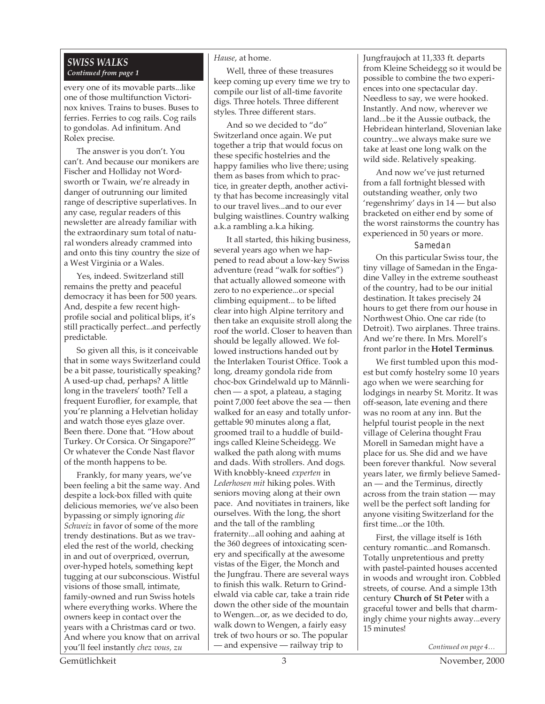#### *SWISS WALKS Continued from page 1*

every one of its movable parts...like one of those multifunction Victorinox knives. Trains to buses. Buses to ferries. Ferries to cog rails. Cog rails to gondolas. Ad infinitum. And Rolex precise.

The answer is you don't. You can't. And because our monikers are Fischer and Holliday not Wordsworth or Twain, we're already in danger of outrunning our limited range of descriptive superlatives. In any case, regular readers of this newsletter are already familiar with the extraordinary sum total of natural wonders already crammed into and onto this tiny country the size of a West Virginia or a Wales.

Yes, indeed. Switzerland still remains the pretty and peaceful democracy it has been for 500 years. And, despite a few recent highprofile social and political blips, it's still practically perfect...and perfectly predictable.

So given all this, is it conceivable that in some ways Switzerland could be a bit passe, touristically speaking? A used-up chad, perhaps? A little long in the travelers' tooth? Tell a frequent Euroflier, for example, that you're planning a Helvetian holiday and watch those eyes glaze over. Been there. Done that. "How about Turkey. Or Corsica. Or Singapore?" Or whatever the Conde Nast flavor of the month happens to be.

Frankly, for many years, we've been feeling a bit the same way. And despite a lock-box filled with quite delicious memories, we've also been bypassing or simply ignoring *die Schweiz* in favor of some of the more trendy destinations. But as we traveled the rest of the world, checking in and out of overpriced, overrun, over-hyped hotels, something kept tugging at our subconscious. Wistful visions of those small, intimate, family-owned and run Swiss hotels where everything works. Where the owners keep in contact over the years with a Christmas card or two. And where you know that on arrival you'll feel instantly *chez vous, zu*

#### *Hause*, at home.

Well, three of these treasures keep coming up every time we try to compile our list of all-time favorite digs. Three hotels. Three different styles. Three different stars.

And so we decided to "do" Switzerland once again. We put together a trip that would focus on these specific hostelries and the happy families who live there; using them as bases from which to practice, in greater depth, another activity that has become increasingly vital to our travel lives...and to our ever bulging waistlines. Country walking a.k.a rambling a.k.a hiking.

It all started, this hiking business, several years ago when we happened to read about a low-key Swiss adventure (read "walk for softies") that actually allowed someone with zero to no experience...or special climbing equipment... to be lifted clear into high Alpine territory and then take an exquisite stroll along the roof the world. Closer to heaven than should be legally allowed. We followed instructions handed out by the Interlaken Tourist Office. Took a long, dreamy gondola ride from choc-box Grindelwald up to Männlichen — a spot, a plateau, a staging point 7,000 feet above the sea — then walked for an easy and totally unforgettable 90 minutes along a flat, groomed trail to a huddle of buildings called Kleine Scheidegg. We walked the path along with mums and dads. With strollers. And dogs. With knobbly-kneed *experten* in *Lederhosen mit* hiking poles. With seniors moving along at their own pace. And novitiates in trainers, like ourselves. With the long, the short and the tall of the rambling fraternity...all oohing and aahing at the 360 degrees of intoxicating scenery and specifically at the awesome vistas of the Eiger, the Monch and the Jungfrau. There are several ways to finish this walk. Return to Grindelwald via cable car, take a train ride down the other side of the mountain to Wengen...or, as we decided to do, walk down to Wengen, a fairly easy trek of two hours or so. The popular — and expensive — railway trip to

Jungfraujoch at 11,333 ft. departs from Kleine Scheidegg so it would be possible to combine the two experiences into one spectacular day. Needless to say, we were hooked. Instantly. And now, wherever we land...be it the Aussie outback, the Hebridean hinterland, Slovenian lake country...we always make sure we take at least one long walk on the wild side. Relatively speaking.

And now we've just returned from a fall fortnight blessed with outstanding weather, only two 'regenshrimy' days in 14 — but also bracketed on either end by some of the worst rainstorms the country has experienced in 50 years or more.

#### Samedan

On this particular Swiss tour, the tiny village of Samedan in the Engadine Valley in the extreme southeast of the country, had to be our initial destination. It takes precisely 24 hours to get there from our house in Northwest Ohio. One car ride (to Detroit). Two airplanes. Three trains. And we're there. In Mrs. Morell's front parlor in the **Hotel Terminus**.

We first tumbled upon this modest but comfy hostelry some 10 years ago when we were searching for lodgings in nearby St. Moritz. It was off-season, late evening and there was no room at any inn. But the helpful tourist people in the next village of Celerina thought Frau Morell in Samedan might have a place for us. She did and we have been forever thankful. Now several years later, we firmly believe Samedan — and the Terminus, directly across from the train station — may well be the perfect soft landing for anyone visiting Switzerland for the first time...or the 10th.

First, the village itself is 16th century romantic...and Romansch. Totally unpretentious and pretty with pastel-painted houses accented in woods and wrought iron. Cobbled streets, of course. And a simple 13th century **Church of St Peter** with a graceful tower and bells that charmingly chime your nights away...every 15 minutes!

*Continued on page 4…*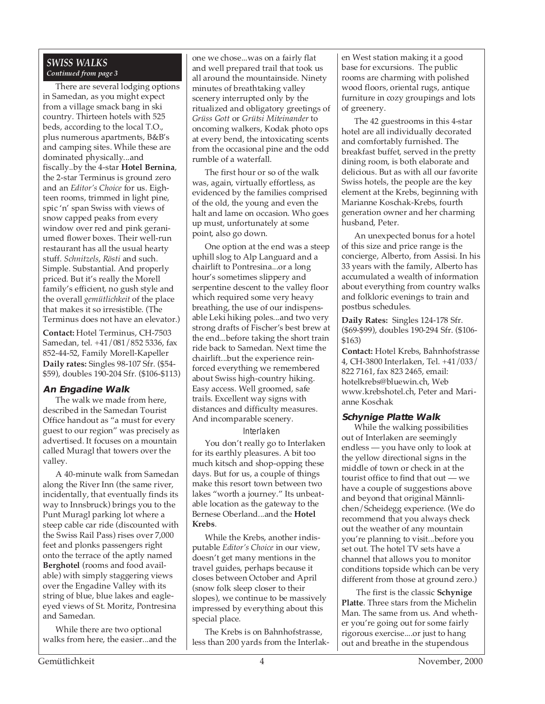#### *SWISS WALKS Continued from page 3*

There are several lodging options in Samedan, as you might expect from a village smack bang in ski country. Thirteen hotels with 525 beds, according to the local T.O., plus numerous apartments, B&B's and camping sites. While these are dominated physically...and fiscally..by the 4-star **Hotel Bernina**, the 2-star Terminus is ground zero and an *Editor's Choice* for us. Eighteen rooms, trimmed in light pine, spic 'n' span Swiss with views of snow capped peaks from every window over red and pink geraniumed flower boxes. Their well-run restaurant has all the usual hearty stuff. *Schnitzels*, *Rösti* and such. Simple. Substantial. And properly priced. But it's really the Morell family's efficient, no gush style and the overall *gemütlichkeit* of the place that makes it so irresistible. (The Terminus does not have an elevator.)

**Contact:** Hotel Terminus, CH-7503 Samedan, tel. +41/081/852 5336, fax 852-44-52, Family Morell-Kapeller **Daily rates:** Singles 98-107 Sfr. (\$54- \$59), doubles 190-204 Sfr. (\$106-\$113)

#### **An Engadine Walk**

The walk we made from here, described in the Samedan Tourist Office handout as "a must for every guest to our region" was precisely as advertised. It focuses on a mountain called Muragl that towers over the valley.

A 40-minute walk from Samedan along the River Inn (the same river, incidentally, that eventually finds its way to Innsbruck) brings you to the Punt Muragl parking lot where a steep cable car ride (discounted with the Swiss Rail Pass) rises over 7,000 feet and plonks passengers right onto the terrace of the aptly named **Berghotel** (rooms and food available) with simply staggering views over the Engadine Valley with its string of blue, blue lakes and eagleeyed views of St. Moritz, Pontresina and Samedan.

While there are two optional walks from here, the easier...and the and well prepared trail that took us one we chose...was on a fairly flat all around the mountainside. Ninety minutes of breathtaking valley scenery interrupted only by the ritualized and obligatory greetings of *Grüss Gott* or *Grütsi Miteinander* to oncoming walkers, Kodak photo ops at every bend, the intoxicating scents from the occasional pine and the odd rumble of a waterfall.

The first hour or so of the walk was, again, virtually effortless, as evidenced by the families comprised of the old, the young and even the halt and lame on occasion. Who goes up must, unfortunately at some point, also go down.

One option at the end was a steep uphill slog to Alp Languard and a chairlift to Pontresina...or a long hour's sometimes slippery and serpentine descent to the valley floor which required some very heavy breathing, the use of our indispensable Leki hiking poles...and two very strong drafts of Fischer's best brew at the end...before taking the short train ride back to Samedan. Next time the chairlift...but the experience reinforced everything we remembered about Swiss high-country hiking. Easy access. Well groomed, safe trails. Excellent way signs with distances and difficulty measures. And incomparable scenery.

#### Interlaken

You don't really go to Interlaken for its earthly pleasures. A bit too much kitsch and shop-opping these days. But for us, a couple of things make this resort town between two lakes "worth a journey." Its unbeatable location as the gateway to the Bernese Oberland...and the **Hotel Krebs**.

While the Krebs, another indisputable *Editor's Choice* in our view, doesn't get many mentions in the travel guides, perhaps because it closes between October and April (snow folk sleep closer to their slopes), we continue to be massively impressed by everything about this special place.

The Krebs is on Bahnhofstrasse, less than 200 yards from the Interlaken West station making it a good base for excursions. The public rooms are charming with polished wood floors, oriental rugs, antique furniture in cozy groupings and lots of greenery.

The 42 guestrooms in this 4-star hotel are all individually decorated and comfortably furnished. The breakfast buffet, served in the pretty dining room, is both elaborate and delicious. But as with all our favorite Swiss hotels, the people are the key element at the Krebs, beginning with Marianne Koschak-Krebs, fourth generation owner and her charming husband, Peter.

An unexpected bonus for a hotel of this size and price range is the concierge, Alberto, from Assisi. In his 33 years with the family, Alberto has accumulated a wealth of information about everything from country walks and folkloric evenings to train and postbus schedules.

**Daily Rates:** Singles 124-178 Sfr. (\$69-\$99), doubles 190-294 Sfr. (\$106- \$163)

**Contact:** Hotel Krebs, Bahnhofstrasse 4, CH-3800 Interlaken, Tel. +41/033/ 822 7161, fax 823 2465, email: hotelkrebs@bluewin.ch, Web www.krebshotel.ch, Peter and Marianne Koschak

#### **Schynige Platte Walk**

While the walking possibilities out of Interlaken are seemingly endless — you have only to look at the yellow directional signs in the middle of town or check in at the tourist office to find that out — we have a couple of suggestions above and beyond that original Männlichen/Scheidegg experience. (We do recommend that you always check out the weather of any mountain you're planning to visit...before you set out. The hotel TV sets have a channel that allows you to monitor conditions topside which can be very different from those at ground zero.)

 The first is the classic **Schynige Platte**. Three stars from the Michelin Man. The same from us. And whether you're going out for some fairly rigorous exercise....or just to hang out and breathe in the stupendous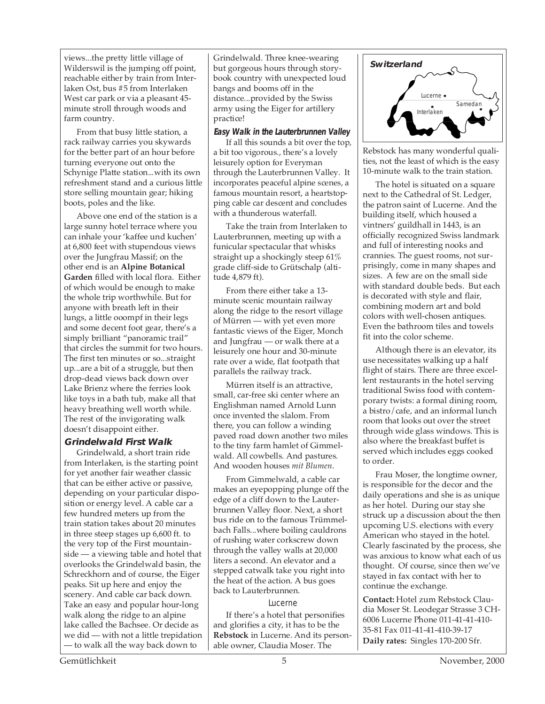views...the pretty little village of Wilderswil is the jumping off point, reachable either by train from Interlaken Ost, bus #5 from Interlaken West car park or via a pleasant 45 minute stroll through woods and farm country.

From that busy little station, a rack railway carries you skywards for the better part of an hour before turning everyone out onto the Schynige Platte station...with its own refreshment stand and a curious little store selling mountain gear; hiking boots, poles and the like.

Above one end of the station is a large sunny hotel terrace where you can inhale your 'kaffee und kuchen' at 6,800 feet with stupendous views over the Jungfrau Massif; on the other end is an **Alpine Botanical Garden** filled with local flora. Either of which would be enough to make the whole trip worthwhile. But for anyone with breath left in their lungs, a little ooompf in their legs and some decent foot gear, there's a simply brilliant "panoramic trail" that circles the summit for two hours. The first ten minutes or so...straight up...are a bit of a struggle, but then drop-dead views back down over Lake Brienz where the ferries look like toys in a bath tub, make all that heavy breathing well worth while. The rest of the invigorating walk doesn't disappoint either.

#### **Grindelwald First Walk**

Grindelwald, a short train ride from Interlaken, is the starting point for yet another fair weather classic that can be either active or passive, depending on your particular disposition or energy level. A cable car a few hundred meters up from the train station takes about 20 minutes in three steep stages up 6,600 ft. to the very top of the First mountainside — a viewing table and hotel that overlooks the Grindelwald basin, the Schreckhorn and of course, the Eiger peaks. Sit up here and enjoy the scenery. And cable car back down. Take an easy and popular hour-long walk along the ridge to an alpine lake called the Bachsee. Or decide as we did — with not a little trepidation — to walk all the way back down to

Grindelwald. Three knee-wearing but gorgeous hours through storybook country with unexpected loud bangs and booms off in the distance...provided by the Swiss army using the Eiger for artillery practice!

#### **Easy Walk in the Lauterbrunnen Valley**

If all this sounds a bit over the top, a bit too vigorous., there's a lovely leisurely option for Everyman through the Lauterbrunnen Valley. It incorporates peaceful alpine scenes, a famous mountain resort, a heartstopping cable car descent and concludes with a thunderous waterfall.

Take the train from Interlaken to Lauterbrunnen, meeting up with a funicular spectacular that whisks straight up a shockingly steep 61% grade cliff-side to Grütschalp (altitude 4,879 ft).

From there either take a 13 minute scenic mountain railway along the ridge to the resort village of Mürren — with yet even more fantastic views of the Eiger, Monch and Jungfrau — or walk there at a leisurely one hour and 30-minute rate over a wide, flat footpath that parallels the railway track.

Mürren itself is an attractive, small, car-free ski center where an Englishman named Arnold Lunn once invented the slalom. From there, you can follow a winding paved road down another two miles to the tiny farm hamlet of Gimmelwald. All cowbells. And pastures. And wooden houses *mit Blumen*.

From Gimmelwald, a cable car makes an eyepopping plunge off the edge of a cliff down to the Lauterbrunnen Valley floor. Next, a short bus ride on to the famous Trümmelbach Falls...where boiling cauldrons of rushing water corkscrew down through the valley walls at 20,000 liters a second. An elevator and a stepped catwalk take you right into the heat of the action. A bus goes back to Lauterbrunnen.

#### Lucerne

If there's a hotel that personifies and glorifies a city, it has to be the **Rebstock** in Lucerne. And its personable owner, Claudia Moser. The



Rebstock has many wonderful qualities, not the least of which is the easy 10-minute walk to the train station.

The hotel is situated on a square next to the Cathedral of St. Ledger, the patron saint of Lucerne. And the building itself, which housed a vintners' guildhall in 1443, is an officially recognized Swiss landmark and full of interesting nooks and crannies. The guest rooms, not surprisingly, come in many shapes and sizes. A few are on the small side with standard double beds. But each is decorated with style and flair, combining modern art and bold colors with well-chosen antiques. Even the bathroom tiles and towels fit into the color scheme.

Although there is an elevator, its use necessitates walking up a half flight of stairs. There are three excellent restaurants in the hotel serving traditional Swiss food with contemporary twists: a formal dining room, a bistro/cafe, and an informal lunch room that looks out over the street through wide glass windows. This is also where the breakfast buffet is served which includes eggs cooked to order.

Frau Moser, the longtime owner, is responsible for the decor and the daily operations and she is as unique as her hotel. During our stay she struck up a discussion about the then upcoming U.S. elections with every American who stayed in the hotel. Clearly fascinated by the process, she was anxious to know what each of us thought. Of course, since then we've stayed in fax contact with her to continue the exchange.

**Contact:** Hotel zum Rebstock Claudia Moser St. Leodegar Strasse 3 CH-6006 Lucerne Phone 011-41-41-410- 35-81 Fax 011-41-41-410-39-17 **Daily rates:** Singles 170-200 Sfr.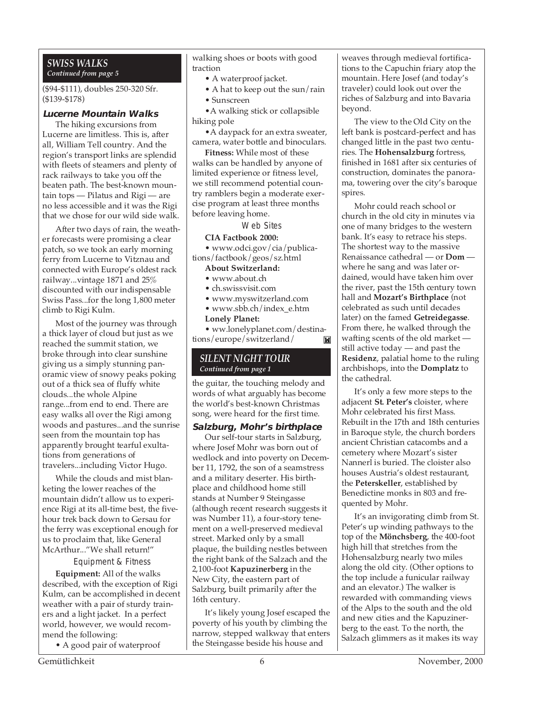#### *SWISS WALKS Continued from page 5*

(\$94-\$111), doubles 250-320 Sfr. (\$139-\$178)

#### **Lucerne Mountain Walks**

The hiking excursions from Lucerne are limitless. This is, after all, William Tell country. And the region's transport links are splendid with fleets of steamers and plenty of rack railways to take you off the beaten path. The best-known mountain tops — Pilatus and Rigi — are no less accessible and it was the Rigi that we chose for our wild side walk.

After two days of rain, the weather forecasts were promising a clear patch, so we took an early morning ferry from Lucerne to Vitznau and connected with Europe's oldest rack railway...vintage 1871 and 25% discounted with our indispensable Swiss Pass...for the long 1,800 meter climb to Rigi Kulm.

Most of the journey was through a thick layer of cloud but just as we reached the summit station, we broke through into clear sunshine giving us a simply stunning panoramic view of snowy peaks poking out of a thick sea of fluffy white clouds...the whole Alpine range...from end to end. There are easy walks all over the Rigi among woods and pastures...and the sunrise seen from the mountain top has apparently brought tearful exultations from generations of travelers...including Victor Hugo.

While the clouds and mist blanketing the lower reaches of the mountain didn't allow us to experience Rigi at its all-time best, the fivehour trek back down to Gersau for the ferry was exceptional enough for us to proclaim that, like General McArthur..."We shall return!"

Equipment & Fitness

**Equipment:** All of the walks described, with the exception of Rigi Kulm, can be accomplished in decent weather with a pair of sturdy trainers and a light jacket. In a perfect world, however, we would recommend the following:

• A good pair of waterproof

walking shoes or boots with good traction

- A waterproof jacket.
- A hat to keep out the sun/rain
- Sunscreen

•A walking stick or collapsible hiking pole

•A daypack for an extra sweater, camera, water bottle and binoculars.

**Fitness:** While most of these walks can be handled by anyone of limited experience or fitness level, we still recommend potential country ramblers begin a moderate exercise program at least three months before leaving home.

Web Sites

#### **CIA Factbook 2000:**

• www.odci.gov/cia/publications/factbook/geos/sz.html

#### **About Switzerland:**

- www.about.ch
- ch.swissvisit.com
- www.myswitzerland.com
- www.sbb.ch/index\_e.htm

#### **Lonely Planet:**

• ww.lonelyplanet.com/destinations/europe/switzerland/ M

#### *SILENT NIGHT TOUR Continued from page 1*

the guitar, the touching melody and words of what arguably has become the world's best-known Christmas song, were heard for the first time.

**Salzburg, Mohr's birthplace**

Our self-tour starts in Salzburg, where Josef Mohr was born out of wedlock and into poverty on December 11, 1792, the son of a seamstress and a military deserter. His birthplace and childhood home still stands at Number 9 Steingasse (although recent research suggests it was Number 11), a four-story tenement on a well-preserved medieval street. Marked only by a small plaque, the building nestles between the right bank of the Salzach and the 2,100-foot **Kapuzinerberg** in the New City, the eastern part of Salzburg, built primarily after the 16th century.

It's likely young Josef escaped the poverty of his youth by climbing the narrow, stepped walkway that enters the Steingasse beside his house and

weaves through medieval fortifications to the Capuchin friary atop the mountain. Here Josef (and today's traveler) could look out over the riches of Salzburg and into Bavaria beyond.

The view to the Old City on the left bank is postcard-perfect and has changed little in the past two centuries. The **Hohensalzburg** fortress, finished in 1681 after six centuries of construction, dominates the panorama, towering over the city's baroque spires.

Mohr could reach school or church in the old city in minutes via one of many bridges to the western bank. It's easy to retrace his steps. The shortest way to the massive Renaissance cathedral — or **Dom**  where he sang and was later ordained, would have taken him over the river, past the 15th century town hall and **Mozart's Birthplace** (not celebrated as such until decades later) on the famed **Getreidegasse**. From there, he walked through the wafting scents of the old market still active today — and past the **Residenz**, palatial home to the ruling archbishops, into the **Domplatz** to the cathedral.

It's only a few more steps to the adjacent **St. Peter's** cloister, where Mohr celebrated his first Mass. Rebuilt in the 17th and 18th centuries in Baroque style, the church borders ancient Christian catacombs and a cemetery where Mozart's sister Nannerl is buried. The cloister also houses Austria's oldest restaurant, the **Peterskeller**, established by Benedictine monks in 803 and frequented by Mohr.

It's an invigorating climb from St. Peter's up winding pathways to the top of the **Mönchsberg**, the 400-foot high hill that stretches from the Hohensalzburg nearly two miles along the old city. (Other options to the top include a funicular railway and an elevator.) The walker is rewarded with commanding views of the Alps to the south and the old and new cities and the Kapuzinerberg to the east. To the north, the Salzach glimmers as it makes its way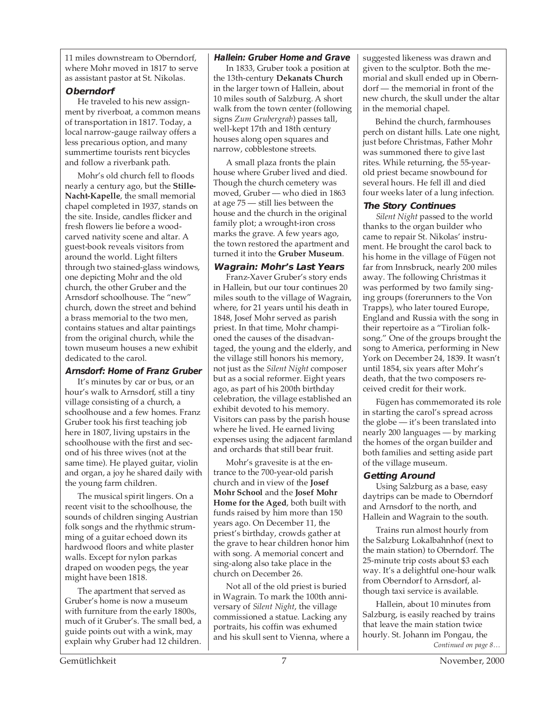11 miles downstream to Oberndorf, where Mohr moved in 1817 to serve as assistant pastor at St. Nikolas.

#### **Oberndorf**

He traveled to his new assignment by riverboat, a common means of transportation in 1817. Today, a local narrow-gauge railway offers a less precarious option, and many summertime tourists rent bicycles and follow a riverbank path.

Mohr's old church fell to floods nearly a century ago, but the **Stille-Nacht-Kapelle**, the small memorial chapel completed in 1937, stands on the site. Inside, candles flicker and fresh flowers lie before a woodcarved nativity scene and altar. A guest-book reveals visitors from around the world. Light filters through two stained-glass windows, one depicting Mohr and the old church, the other Gruber and the Arnsdorf schoolhouse. The "new" church, down the street and behind a brass memorial to the two men, contains statues and altar paintings from the original church, while the town museum houses a new exhibit dedicated to the carol.

#### **Arnsdorf: Home of Franz Gruber**

It's minutes by car or bus, or an hour's walk to Arnsdorf, still a tiny village consisting of a church, a schoolhouse and a few homes. Franz Gruber took his first teaching job here in 1807, living upstairs in the schoolhouse with the first and second of his three wives (not at the same time). He played guitar, violin and organ, a joy he shared daily with the young farm children.

The musical spirit lingers. On a recent visit to the schoolhouse, the sounds of children singing Austrian folk songs and the rhythmic strumming of a guitar echoed down its hardwood floors and white plaster walls. Except for nylon parkas draped on wooden pegs, the year might have been 1818.

The apartment that served as Gruber's home is now a museum with furniture from the early 1800s, much of it Gruber's. The small bed, a guide points out with a wink, may explain why Gruber had 12 children.

#### **Hallein: Gruber Home and Grave**

In 1833, Gruber took a position at the 13th-century **Dekanats Church** in the larger town of Hallein, about 10 miles south of Salzburg. A short walk from the town center (following signs *Zum Grubergrab*) passes tall, well-kept 17th and 18th century houses along open squares and narrow, cobblestone streets.

A small plaza fronts the plain house where Gruber lived and died. Though the church cemetery was moved, Gruber — who died in 1863 at age 75 — still lies between the house and the church in the original family plot; a wrought-iron cross marks the grave. A few years ago, the town restored the apartment and turned it into the **Gruber Museum**.

#### **Wagrain: Mohr's Last Years**

Franz-Xaver Gruber's story ends in Hallein, but our tour continues 20 miles south to the village of Wagrain, where, for 21 years until his death in 1848, Josef Mohr served as parish priest. In that time, Mohr championed the causes of the disadvantaged, the young and the elderly, and the village still honors his memory, not just as the *Silent Night* composer but as a social reformer. Eight years ago, as part of his 200th birthday celebration, the village established an exhibit devoted to his memory. Visitors can pass by the parish house where he lived. He earned living expenses using the adjacent farmland and orchards that still bear fruit.

Mohr's gravesite is at the entrance to the 700-year-old parish church and in view of the **Josef Mohr School** and the **Josef Mohr Home for the Aged**, both built with funds raised by him more than 150 years ago. On December 11, the priest's birthday, crowds gather at the grave to hear children honor him with song. A memorial concert and sing-along also take place in the church on December 26.

Not all of the old priest is buried in Wagrain. To mark the 100th anniversary of *Silent Night*, the village commissioned a statue. Lacking any portraits, his coffin was exhumed and his skull sent to Vienna, where a

suggested likeness was drawn and given to the sculptor. Both the memorial and skull ended up in Oberndorf — the memorial in front of the new church, the skull under the altar in the memorial chapel.

Behind the church, farmhouses perch on distant hills. Late one night, just before Christmas, Father Mohr was summoned there to give last rites. While returning, the 55-yearold priest became snowbound for several hours. He fell ill and died four weeks later of a lung infection.

#### **The Story Continues**

*Silent Night* passed to the world thanks to the organ builder who came to repair St. Nikolas' instrument. He brought the carol back to his home in the village of Fügen not far from Innsbruck, nearly 200 miles away. The following Christmas it was performed by two family singing groups (forerunners to the Von Trapps), who later toured Europe, England and Russia with the song in their repertoire as a "Tirolian folksong." One of the groups brought the song to America, performing in New York on December 24, 1839. It wasn't until 1854, six years after Mohr's death, that the two composers received credit for their work.

Fügen has commemorated its role in starting the carol's spread across the globe — it's been translated into nearly 200 languages — by marking the homes of the organ builder and both families and setting aside part of the village museum.

#### **Getting Around**

Using Salzburg as a base, easy daytrips can be made to Oberndorf and Arnsdorf to the north, and Hallein and Wagrain to the south.

Trains run almost hourly from the Salzburg Lokalbahnhof (next to the main station) to Oberndorf. The 25-minute trip costs about \$3 each way. It's a delightful one-hour walk from Oberndorf to Arnsdorf, although taxi service is available.

*Continued on page 8…* Hallein, about 10 minutes from Salzburg, is easily reached by trains that leave the main station twice hourly. St. Johann im Pongau, the